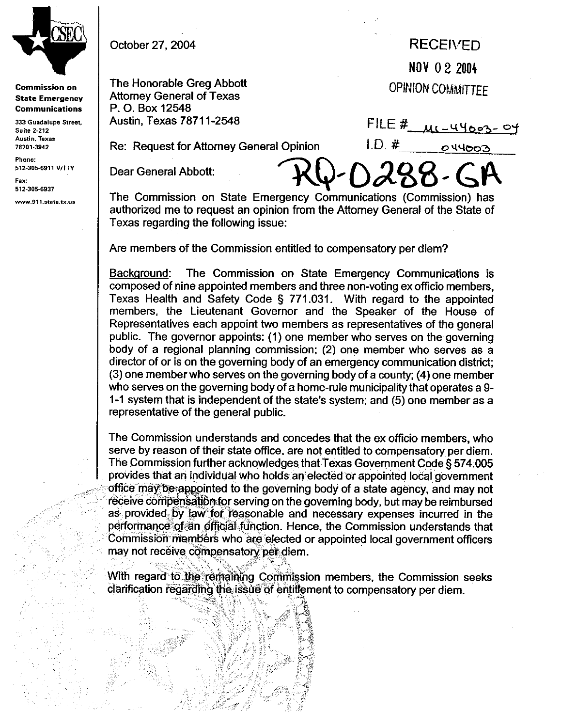

**Commission on State Emergency Communications** 

333 Guadalupe Street, **Suite 2-212** Austin, Texas 78701-3942

Phone: 512-305-6911 V/TTY

Fax: 512-305-6937

www.911.state.tx.us

,\_ ;:'i '.

 $\frac{1}{2}$ 

October 27,2004

## **RECEWED NOV 0 2 2004**

**OPINION COMMITTEE** 

The Honorable Greg Abbott Attorney General of Texas P. 0. Box 12548 Austin, Texas 78711-2548

 $LD#$ Re: Request for Attorney General Opinion

FILE #  $\mu$ 1-44003-04

044003

Dear General Abbott:

The Commission on State Emergency Communications (Commission) has authorized me to request an opinion from the Attorney General of the State of Texas regarding the following issue:

Are members of the Commission entitled to compensatory per diem?

Backqround: The Commission on State Emergency Communications is composed of nine appointed members and three non-voting ex officio members, Texas Health and Safety Code 5 771.031. With regard to the appointed members, the Lieutenant Governor and the Speaker of the House of Representatives each appoint two members as representatives of the general public. The governor appoints: (1) one member who serves on the governing body of a regional planning commission; (2) one member who serves as a director of or is on the governing body of an emergency communication district; (3) one member who serves on the governing body of a county; (4) one member who serves on the governing body of a home-rule municipality that operates a 9 l-l system that is independent of the state's system; and (5) one member as a representative of the general public.

The Commission understands and concedes that the ex ofticio members, who serve by reason of their state office, are not entitled to compensatory per diem. The Commission further acknowledges that Texas Government Code § 574.005 provides that an individual who holds an elected or appointed local government office may be appointed to the governing body of a state agency, and may not receive compensation for serving on the governing body, but may be reimbursed<br>as provided by law for reasonable and necessary expenses incurred in the as provided by law for reasonable and necessary expenses incurred in the  $\sim$  methods of an efficial function. Hence, the Commission understands that  $\blacksquare$  performance of an official tunction. Hence, the Commission understands that Commission members who are elected or appointed local government officers '. may not recei,ve. ti ':ijmpensato&\$ttdiem. ,; :.;v ,;;/Y\$

,.... Bi,,,& % :' '&, "i ':+'\$.> ;, ' j<, .,.. >.\_i., ':.; & a remaining Commission members, the Commission seeks clarification regarding the issue of entitlement to compensatory per diem.